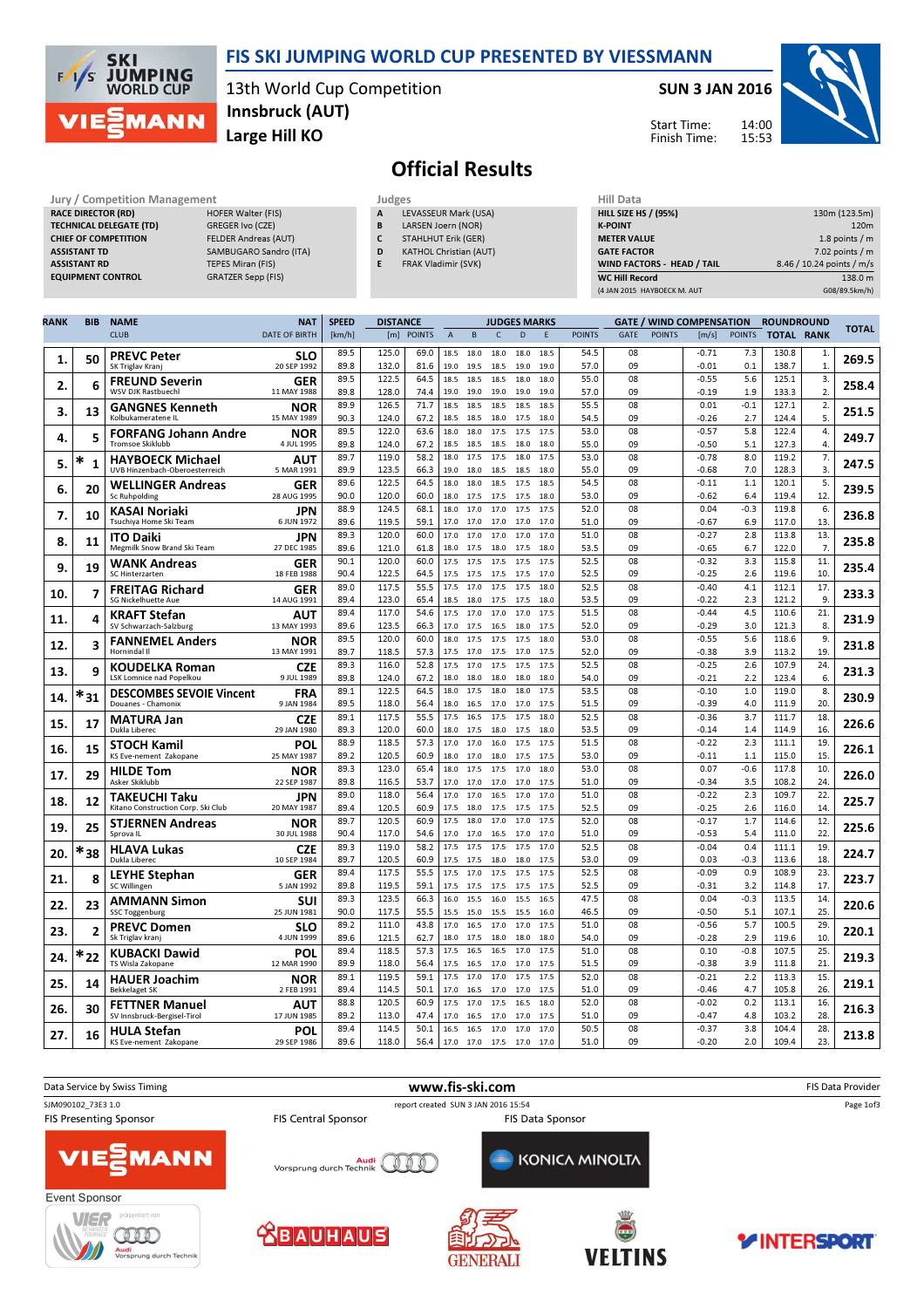

## FIS SKI JUMPING WORLD CUP PRESENTED BY VIESSMANN

13th World Cup Competition Large Hill KO Innsbruck (AUT)

#### SUN 3 JAN 2016

Start Time: Finish Time:



# Official Results

| Jury / Competition Management  |                             | Judges |                               | <b>Hill Data</b>   |
|--------------------------------|-----------------------------|--------|-------------------------------|--------------------|
| <b>RACE DIRECTOR (RD)</b>      | <b>HOFER Walter (FIS)</b>   | A      | LEVASSEUR Mark (USA)          | <b>HILL SIZE H</b> |
| <b>TECHNICAL DELEGATE (TD)</b> | GREGER Ivo (CZE)            | B      | LARSEN Joern (NOR)            | <b>K-POINT</b>     |
| <b>CHIEF OF COMPETITION</b>    | <b>FELDER Andreas (AUT)</b> |        | <b>STAHLHUT Erik (GER)</b>    | <b>METER VAI</b>   |
| <b>ASSISTANT TD</b>            | SAMBUGARO Sandro (ITA)      | D      | <b>KATHOL Christian (AUT)</b> | <b>GATE FACT</b>   |
| <b>ASSISTANT RD</b>            | TEPES Miran (FIS)           |        | FRAK Vladimir (SVK)           | <b>WIND FACT</b>   |
| <b>EQUIPMENT CONTROL</b>       | <b>GRATZER Sepp (FIS)</b>   |        |                               | <b>WC Hill Reg</b> |

| Juages |                          |
|--------|--------------------------|
| А      | LEVASSEUR Mark (USA)     |
| B      | LARSEN Joern (NOR)       |
| ∽      | CFAIII II I F F II A F N |

- STAHLHUT Erik (GER)
- D KATHOL Christian (AUT)
- E FRAK Vladimir (SVK)

| Hill Data                   |                           |
|-----------------------------|---------------------------|
| <b>HILL SIZE HS / (95%)</b> | 130m (123.5m)             |
| <b>K-POINT</b>              | 120 <sub>m</sub>          |
| <b>METER VALUE</b>          | 1.8 points $/m$           |
| <b>GATE FACTOR</b>          | $7.02$ points / m         |
| WIND FACTORS - HEAD / TAIL  | 8.46 / 10.24 points / m/s |
| <b>WC Hill Record</b>       | 138.0 m                   |
| (4 JAN 2015 HAYBOECK M. AUT | G08/89.5km/h)             |

| RANK | <b>BIB</b>        | <b>NAME</b>                                               | <b>NAT</b>                | <b>SPEED</b> | <b>DISTANCE</b> |               |                |              |              | <b>JUDGES MARKS</b> |              |               |             |               | <b>GATE / WIND COMPENSATION</b> |               | <b>ROUNDROUND</b> |                      |              |
|------|-------------------|-----------------------------------------------------------|---------------------------|--------------|-----------------|---------------|----------------|--------------|--------------|---------------------|--------------|---------------|-------------|---------------|---------------------------------|---------------|-------------------|----------------------|--------------|
|      |                   | <b>CLUB</b>                                               | <b>DATE OF BIRTH</b>      | [km/h]       | [m]             | <b>POINTS</b> | $\overline{A}$ | $\sf{B}$     | $\mathsf{C}$ | D                   | E            | <b>POINTS</b> | <b>GATE</b> | <b>POINTS</b> | [m/s]                           | <b>POINTS</b> | <b>TOTAL RANK</b> |                      | <b>TOTAL</b> |
| 1.   | 50                | <b>PREVC Peter</b><br>SK Triglav Kranj                    | <b>SLO</b><br>20 SEP 1992 | 89.5<br>89.8 | 125.0<br>132.0  | 69.0<br>81.6  | 18.5<br>19.0   | 18.0<br>19.5 | 18.0<br>18.5 | 18.0<br>19.0        | 18.5<br>19.0 | 54.5<br>57.0  | 08<br>09    |               | $-0.71$<br>$-0.01$              | 7.3<br>0.1    | 130.8<br>138.7    | $\mathbf{1}$<br>1.   | 269.5        |
| 2.   | 6                 | <b>FREUND Severin</b><br><b>WSV DJK Rastbuechl</b>        | GER<br>11 MAY 1988        | 89.5<br>89.8 | 122.5<br>128.0  | 64.5<br>74.4  | 18.5<br>19.0   | 18.5<br>19.0 | 18.5<br>19.0 | 18.0<br>19.0        | 18.0<br>19.0 | 55.0<br>57.0  | 08<br>09    |               | $-0.55$<br>$-0.19$              | 5.6<br>1.9    | 125.1<br>133.3    | 3.<br>2              | 258.4        |
| 3.   | 13                | <b>GANGNES Kenneth</b>                                    | NOR                       | 89.9         | 126.5           | 71.7          | 18.5           | 18.5         | 18.5         | 18.5                | 18.5         | 55.5          | 08          |               | 0.01                            | $-0.1$        | 127.1             | 2.                   | 251.5        |
|      |                   | Kolbukameratene IL                                        | 15 MAY 1989               | 90.3<br>89.5 | 124.0<br>122.0  | 67.2<br>63.6  | 18.5           | 18.5         | 18.0         | 17.5                | 18.0<br>17.5 | 54.5<br>53.0  | 09<br>08    |               | $-0.26$<br>$-0.57$              | 2.7<br>5.8    | 124.4<br>122.4    | 5.                   |              |
| 4.   | 5                 | <b>FORFANG Johann Andre</b><br>Tromsoe Skiklubb           | <b>NOR</b><br>4 JUL 1995  | 89.8         | 124.0           | 67.2          | 18.0<br>18.5   | 18.0<br>18.5 | 17.5<br>18.5 | 17.5<br>18.0        | 18.0         | 55.0          | 09          |               | $-0.50$                         | 5.1           | 127.3             | 4.<br>4.             | 249.7        |
| 5.   | *<br>$\mathbf{1}$ | <b>HAYBOECK Michael</b><br>UVB Hinzenbach-Oberoesterreich | <b>AUT</b><br>5 MAR 1991  | 89.7<br>89.9 | 119.0<br>123.5  | 58.2<br>66.3  | 18.0<br>19.0   | 17.5<br>18.0 | 17.5<br>18.5 | 18.0<br>18.5        | 17.5<br>18.0 | 53.0<br>55.0  | 08<br>09    |               | $-0.78$<br>$-0.68$              | 8.0<br>7.0    | 119.2<br>128.3    | 7.<br>$\overline{3}$ | 247.5        |
| 6.   | 20                | <b>WELLINGER Andreas</b>                                  | GER                       | 89.6<br>90.0 | 122.5<br>120.0  | 64.5<br>60.0  | 18.0           | 18.0         | 18.5         | 17.5                | 18.5         | 54.5          | 08<br>09    |               | $-0.11$                         | 1.1<br>6.4    | 120.1<br>119.4    | 5.<br>12.            | 239.5        |
|      |                   | Sc Ruhpolding<br>KASAI Noriaki                            | 28 AUG 1995<br>JPN        | 88.9         | 124.5           | 68.1          | 18.0<br>18.0   | 17.5<br>17.0 | 17.5<br>17.0 | 17.5<br>17.5        | 18.0<br>17.5 | 53.0<br>52.0  | 08          |               | $-0.62$<br>0.04                 | $-0.3$        | 119.8             | 6.                   |              |
| 7.   | 10                | Tsuchiya Home Ski Team                                    | 6 JUN 1972                | 89.6         | 119.5           | 59.1          | 17.0           | 17.0         | 17.0         | 17.0                | 17.0         | 51.0          | 09          |               | $-0.67$                         | 6.9           | 117.0             | 13.                  | 236.8        |
| 8.   | 11                | <b>ITO Daiki</b><br>Megmilk Snow Brand Ski Team           | <b>JPN</b><br>27 DEC 1985 | 89.3<br>89.6 | 120.0<br>121.0  | 60.0<br>61.8  | 17.0<br>18.0   | 17.0<br>17.5 | 17.0<br>18.0 | 17.0<br>17.5        | 17.0<br>18.0 | 51.0<br>53.5  | 08<br>09    |               | $-0.27$<br>$-0.65$              | 2.8<br>6.7    | 113.8<br>122.0    | 13.<br>7.            | 235.8        |
|      |                   | WANK Andreas                                              | GER                       | 90.1         | 120.0           | 60.0          | 17.5           | 17.5         | 17.5         | 17.5                | 17.5         | 52.5          | 08          |               | $-0.32$                         | 3.3           | 115.8             | 11.                  |              |
| 9.   | 19                | SC Hinterzarten                                           | 18 FEB 1988               | 90.4         | 122.5           | 64.5          | 17.5           | 17.5         | 17.5         | 17.5                | 17.0         | 52.5          | 09          |               | $-0.25$                         | 2.6           | 119.6             | 10                   | 235.4        |
| 10.  | 7                 | <b>FREITAG Richard</b><br>SG Nickelhuette Aue             | GER<br>14 AUG 1991        | 89.0<br>89.4 | 117.5<br>123.0  | 55.5<br>65.4  | 17.5<br>18.5   | 17.0         | 17.5         | 17.5                | 18.0<br>18.0 | 52.5<br>53.5  | 08<br>09    |               | $-0.40$<br>$-0.22$              | 4.1<br>2.3    | 112.1<br>121.2    | 17.<br>9.            | 233.3        |
|      |                   | <b>KRAFT Stefan</b>                                       | AUT                       | 89.4         | 117.0           | 54.6          | 17.5           | 18.0<br>17.0 | 17.5<br>17.0 | 17.5<br>17.0        | 17.5         | 51.5          | 08          |               | $-0.44$                         | 4.5           | 110.6             | 21.                  |              |
| 11.  | 4                 | SV Schwarzach-Salzburg                                    | 13 MAY 1993               | 89.6         | 123.5           | 66.3          | 17.0           | 17.5         | 16.5         | 18.0                | 17.5         | 52.0          | 09          |               | $-0.29$                         | 3.0           | 121.3             | 8.                   | 231.9        |
| 12.  | 3                 | <b>FANNEMEL Anders</b><br>Hornindal II                    | NOR<br>13 MAY 1991        | 89.5<br>89.7 | 120.0<br>118.5  | 60.0<br>57.3  | 18.0<br>17.5   | 17.5<br>17.0 | 17.5<br>17.5 | 17.5<br>17.0        | 18.0<br>17.5 | 53.0<br>52.0  | 08<br>09    |               | $-0.55$<br>$-0.38$              | 5.6<br>3.9    | 118.6<br>113.2    | 9.<br>19             | 231.8        |
|      | 9                 | <b>KOUDELKA Roman</b>                                     | <b>CZE</b>                | 89.3         | 116.0           | 52.8          | 17.5           | 17.0         | 17.5         | 17.5                | 17.5         | 52.5          | 08          |               | $-0.25$                         | 2.6           | 107.9             | 24.                  |              |
| 13.  |                   | LSK Lomnice nad Popelkou                                  | 9 JUL 1989                | 89.8         | 124.0           | 67.2          | 18.0           | 18.0         | 18.0         | 18.0                | 18.0         | 54.0          | 09          |               | $-0.21$                         | 2.2           | 123.4             | 6.                   | 231.3        |
| 14.  | $*_{31}$          | <b>DESCOMBES SEVOIE Vincent</b><br>Douanes - Chamonix     | <b>FRA</b><br>9 JAN 1984  | 89.1<br>89.5 | 122.5<br>118.0  | 64.5<br>56.4  | 18.0<br>18.0   | 17.5<br>16.5 | 18.0<br>17.0 | 18.0<br>17.0        | 17.5<br>17.5 | 53.5<br>51.5  | 08<br>09    |               | $-0.10$<br>$-0.39$              | 1.0<br>4.0    | 119.0<br>111.9    | 8.<br>20             | 230.9        |
| 15.  | 17                | <b>MATURA Jan</b>                                         | <b>CZE</b>                | 89.1         | 117.5           | 55.5          | 17.5           | 16.5         | 17.5         | 17.5                | 18.0         | 52.5          | 08          |               | $-0.36$                         | 3.7           | 111.7             | 18.                  | 226.6        |
|      |                   | Dukla Liberec                                             | 29 JAN 1980               | 89.3<br>88.9 | 120.0<br>118.5  | 60.0<br>57.3  | 18.0<br>17.0   | 17.5<br>17.0 | 18.0<br>16.0 | 17.5<br>17.5        | 18.0<br>17.5 | 53.5<br>51.5  | 09<br>08    |               | $-0.14$<br>$-0.22$              | 1.4<br>2.3    | 114.9<br>111.1    | 16<br>19             |              |
| 16.  | 15                | <b>STOCH Kamil</b><br>KS Eve-nement Zakopane              | POL<br>25 MAY 1987        | 89.2         | 120.5           | 60.9          | 18.0           | 17.0         | 18.0         | 17.5                | 17.5         | 53.0          | 09          |               | $-0.11$                         | 1.1           | 115.0             | 15.                  | 226.1        |
| 17.  | 29                | <b>HILDE Tom</b>                                          | NOR                       | 89.3         | 123.0           | 65.4          | 18.0           | 17.5         | 17.5         | 17.0                | 18.0         | 53.0          | 08          |               | 0.07                            | $-0.6$        | 117.8             | 10                   | 226.0        |
|      |                   | Asker Skiklubb                                            | 22 SEP 1987               | 89.8         | 116.5           | 53.7          | 17.0           | 17.0         | 17.0         | 17.0                | 17.5         | 51.0          | 09          |               | $-0.34$                         | 3.5           | 108.2             | 24.                  |              |
| 18.  | 12                | TAKEUCHI Taku<br>Kitano Construction Corp. Ski Club       | JPN<br>20 MAY 1987        | 89.0<br>89.4 | 118.0<br>120.5  | 56.4<br>60.9  | 17.0<br>17.5   | 17.0<br>18.0 | 16.5<br>17.5 | 17.0<br>17.5        | 17.0<br>17.5 | 51.0<br>52.5  | 08<br>09    |               | $-0.22$<br>$-0.25$              | 2.3<br>2.6    | 109.7<br>116.0    | 22.<br>14            | 225.7        |
| 19.  | 25                | <b>STJERNEN Andreas</b>                                   | <b>NOR</b>                | 89.7         | 120.5           | 60.9          | 17.5           | 18.0         | 17.0         | 17.0                | 17.5         | 52.0          | 08          |               | $-0.17$                         | 1.7           | 114.6             | 12.                  | 225.6        |
|      |                   | Sprova IL                                                 | 30 JUL 1988               | 90.4         | 117.0           | 54.6          | 17.0           | 17.0         | 16.5         | 17.0                | 17.0         | 51.0          | 09          |               | $-0.53$                         | 5.4           | 111.0             | 22.                  |              |
| 20.  | *38               | <b>HLAVA Lukas</b><br>Dukla Liberec                       | <b>CZE</b><br>10 SEP 1984 | 89.3<br>89.7 | 119.0<br>120.5  | 58.2<br>60.9  | 17.5<br>17.5   | 17.5<br>17.5 | 17.5<br>18.0 | 17.5<br>18.0        | 17.0<br>17.5 | 52.5<br>53.0  | 08<br>09    |               | $-0.04$<br>0.03                 | 0.4<br>$-0.3$ | 111.1<br>113.6    | 19<br>18             | 224.7        |
| 21.  | 8                 | LEYHE Stephan<br>SC Willingen                             | GER<br>5 JAN 1992         | 89.4<br>89.8 | 117.5<br>119.5  | 55.5<br>59.1  | 17.5<br>17.5   | 17.0<br>17.5 | 17.5<br>17.5 | 17.5<br>17.5        | 17.5<br>17.5 | 52.5<br>52.5  | 08<br>09    |               | $-0.09$<br>$-0.31$              | 0.9<br>3.2    | 108.9<br>114.8    | 23.<br>17            | 223.7        |
|      |                   | <b>AMMANN Simon</b>                                       | SUI                       | 89.3         | 123.5           | 66.3          | 16.0           | 15.5         | 16.0         | 15.5                | 16.5         | 47.5          | 08          |               | 0.04                            | $-0.3$        | 113.5             | 14                   |              |
| 22.  | 23                | <b>SSC Toggenburg</b>                                     | 25 JUN 1981               | 90.0         | 117.5           | 55.5          | 15.5           | 15.0         | 15.5         | 15.5                | 16.0         | 46.5          | 09          |               | $-0.50$                         | 5.1           | 107.1             | 25                   | 220.6        |
| 23.  | 2                 | <b>PREVC Domen</b>                                        | SLO                       | 89.2         | 111.0           | 43.8          | 17.0           | 16.5         | 17.0         | 17.0                | 17.5         | 51.0          | 08<br>09    |               | $-0.56$                         | 5.7           | 100.5             | 29.                  | 220.1        |
|      |                   | Sk Triglav kranj<br><b>KUBACKI Dawid</b>                  | 4 JUN 1999<br>POL         | 89.6<br>89.4 | 121.5<br>118.5  | 62.7<br>57.3  | 18.0<br>17.5   | 17.5<br>16.5 | 18.0<br>16.5 | 18.0<br>17.0        | 18.0<br>17.5 | 54.0<br>51.0  | 08          |               | $-0.28$<br>0.10                 | 2.9<br>$-0.8$ | 119.6<br>107.5    | 10<br>25             |              |
| 24.  | *22               | TS Wisla Zakopane                                         | 12 MAR 1990               | 89.9         | 118.0           | 56.4          | 17.5           | 16.5         | 17.0         | 17.0                | 17.5         | 51.5          | 09          |               | $-0.38$                         | 3.9           | 111.8             | 21                   | 219.3        |
| 25.  | 14                | <b>HAUER Joachim</b><br><b>Bekkelaget SK</b>              | <b>NOR</b><br>2 FEB 1991  | 89.1<br>89.4 | 119.5<br>114.5  | 59.1<br>50.1  | 17.5<br>17.0   | 17.0<br>16.5 | 17.0<br>17.0 | 17.5<br>17.0        | 17.5<br>17.5 | 52.0<br>51.0  | 08<br>09    |               | $-0.21$<br>$-0.46$              | 2.2<br>4.7    | 113.3<br>105.8    | 15.<br>26            | 219.1        |
|      |                   | <b>FETTNER Manuel</b>                                     | AUT                       | 88.8         | 120.5           | 60.9          | 17.5           | 17.0         | 17.5         | 16.5                | 18.0         | 52.0          | 08          |               | $-0.02$                         | 0.2           | 113.1             | 16                   |              |
| 26.  | 30                | SV Innsbruck-Bergisel-Tirol                               | 17 JUN 1985               | 89.2         | 113.0           | 47.4          | 17.0           | 16.5 17.0    |              | 17.0                | 17.5         | 51.0          | 09          |               | $-0.47$                         | 4.8           | 103.2             | 28.                  | 216.3        |
| 27.  | 16                | <b>HULA Stefan</b>                                        | POL                       | 89.4         | 114.5           | 50.1          | 16.5           | 16.5         | 17.0         | 17.0                | 17.0         | 50.5          | 08<br>09    |               | $-0.37$                         | 3.8<br>2.0    | 104.4<br>109.4    | 28.<br>23.           | 213.8        |
|      |                   | KS Eve-nement Zakopane                                    | 29 SEP 1986               | 89.6         | 118.0           | 56.4          | 17.0           | 17.0 17.5    |              | 17.0                | 17.0         | 51.0          |             |               | $-0.20$                         |               |                   |                      |              |

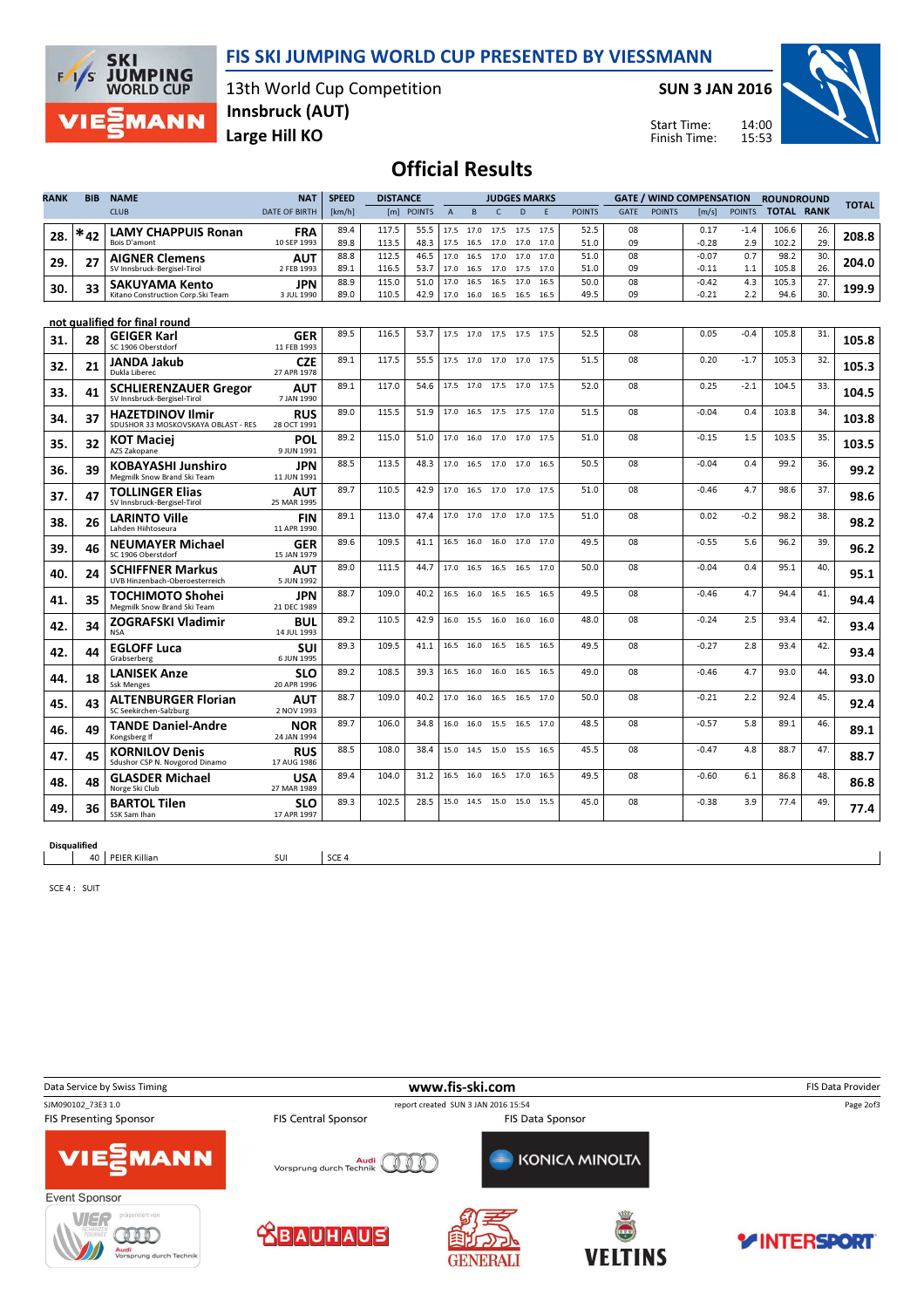## FIS SKI JUMPING WORLD CUP PRESENTED BY VIESSMANN



13th World Cup Competition Large Hill KO Innsbruck (AUT)

SUN 3 JAN 2016

Start Time: Finish Time:



## Official Results

| RANK | <b>BIB</b> | <b>NAME</b>                                                    | <b>NAT</b>                | <b>SPEED</b> | <b>DISTANCE</b> |              |                |                | <b>JUDGES MARKS</b>      |      |              |               |             |               | <b>GATE / WIND COMPENSATION</b> |               | <b>ROUNDROUND</b> |            |              |
|------|------------|----------------------------------------------------------------|---------------------------|--------------|-----------------|--------------|----------------|----------------|--------------------------|------|--------------|---------------|-------------|---------------|---------------------------------|---------------|-------------------|------------|--------------|
|      |            | <b>CLUB</b>                                                    | <b>DATE OF BIRTH</b>      | [km/h]       |                 | [m] POINTS   | $\overline{A}$ | B              | $\mathsf{C}$             | D    | F            | <b>POINTS</b> | <b>GATE</b> | <b>POINTS</b> | [m/s]                           | <b>POINTS</b> | <b>TOTAL RANK</b> |            | <b>TOTAL</b> |
| 28.  | $*_{42}$   | <b>LAMY CHAPPUIS Ronan</b>                                     | <b>FRA</b>                | 89.4         | 117.5           | 55.5         |                | 17.5 17.0      | 17.5                     | 17.5 | 17.5         | 52.5          | 08          |               | 0.17                            | $-1.4$        | 106.6             | 26.        | 208.8        |
|      |            | Bois D'amont                                                   | 10 SEP 1993               | 89.8         | 113.5<br>112.5  | 48.3<br>46.5 |                | 17.5 16.5 17.0 |                          | 17.0 | 17.0<br>17.0 | 51.0<br>51.0  | 09<br>08    |               | $-0.28$<br>$-0.07$              | 2.9<br>0.7    | 102.2<br>98.2     | 29.<br>30. |              |
| 29.  | 27         | <b>AIGNER Clemens</b><br>SV Innsbruck-Bergisel-Tirol           | <b>AUT</b><br>2 FEB 1993  | 88.8<br>89.1 | 116.5           | 53.7         | 17.0           | 16.5 17.0      | 17.0 16.5 17.0 17.5      | 17.0 | 17.0         | 51.0          | 09          |               | $-0.11$                         | 1.1           | 105.8             | 26.        | 204.0        |
| 30.  | 33         | <b>SAKUYAMA Kento</b>                                          | <b>JPN</b>                | 88.9         | 115.0           | 51.0         | 17.0           | 16.5           | 16.5                     | 17.0 | 16.5         | 50.0          | 08          |               | $-0.42$                         | 4.3           | 105.3             | 27.        | 199.9        |
|      |            | Kitano Construction Corp.Ski Team                              | 3 JUL 1990                | 89.0         | 110.5           | 42.9         |                |                | 17.0 16.0 16.5 16.5      |      | 16.5         | 49.5          | 09          |               | $-0.21$                         | 2.2           | 94.6              | 30.        |              |
|      |            | not qualified for final round                                  |                           |              |                 |              |                |                |                          |      |              |               |             |               |                                 |               |                   |            |              |
| 31.  | 28         | <b>GEIGER Karl</b><br>SC 1906 Oberstdorf                       | <b>GER</b><br>11 FEB 1993 | 89.5         | 116.5           | 53.7         |                |                | 17.5 17.0 17.5 17.5      |      | 17.5         | 52.5          | 08          |               | 0.05                            | $-0.4$        | 105.8             | 31.        | 105.8        |
| 32.  | 21         | JANDA Jakub<br>Dukla Liberec                                   | <b>CZE</b><br>27 APR 1978 | 89.1         | 117.5           | 55.5         |                |                | 17.5 17.0 17.0 17.0      |      | 17.5         | 51.5          | 08          |               | 0.20                            | $-1.7$        | 105.3             | 32.        | 105.3        |
| 33.  | 41         | <b>SCHLIERENZAUER Gregor</b><br>SV Innsbruck-Bergisel-Tirol    | <b>AUT</b><br>7 JAN 1990  | 89.1         | 117.0           | 54.6         |                |                | 17.5 17.0 17.5 17.0 17.5 |      |              | 52.0          | 08          |               | 0.25                            | $-2.1$        | 104.5             | 33.        | 104.5        |
| 34.  | 37         | <b>HAZETDINOV Ilmir</b><br>SDUSHOR 33 MOSKOVSKAYA OBLAST - RES | <b>RUS</b><br>28 OCT 1991 | 89.0         | 115.5           | 51.9         |                |                | 17.0 16.5 17.5 17.5 17.0 |      |              | 51.5          | 08          |               | $-0.04$                         | 0.4           | 103.8             | 34.        | 103.8        |
| 35   | 32         | <b>KOT Maciej</b><br>AZS Zakopane                              | POL<br>9 JUN 1991         | 89.2         | 115.0           | 51.0         |                |                | 17.0 16.0 17.0 17.0 17.5 |      |              | 51.0          | 08          |               | $-0.15$                         | 1.5           | 103.5             | 35.        | 103.5        |
| 36.  | 39         | KOBAYASHI Junshiro<br>Megmilk Snow Brand Ski Team              | JPN<br>11 JUN 1991        | 88.5         | 113.5           | 48.3         |                |                | 17.0 16.5 17.0 17.0      |      | 16.5         | 50.5          | 08          |               | $-0.04$                         | 0.4           | 99.2              | 36.        | 99.2         |
| 37.  | 47         | <b>TOLLINGER Elias</b><br>SV Innsbruck-Bergisel-Tirol          | AUT<br>25 MAR 1995        | 89.7         | 110.5           | 42.9         |                |                | 17.0 16.5 17.0 17.0      |      | 17.5         | 51.0          | 08          |               | $-0.46$                         | 4.7           | 98.6              | 37.        | 98.6         |
| 38.  | 26         | <b>LARINTO Ville</b><br>Lahden Hiihtoseura                     | <b>FIN</b><br>11 APR 1990 | 89.1         | 113.0           | 47.4         |                |                | 17.0 17.0 17.0 17.0      |      | 17.5         | 51.0          | 08          |               | 0.02                            | $-0.2$        | 98.2              | 38.        | 98.2         |
| 39.  | 46         | <b>NEUMAYER Michael</b><br>SC 1906 Oberstdorf                  | <b>GER</b><br>15 JAN 1979 | 89.6         | 109.5           | 41.1         | 16.5           | 16.0           | 16.0                     | 17.0 | 17.0         | 49.5          | 08          |               | $-0.55$                         | 5.6           | 96.2              | 39.        | 96.2         |
| 40.  | 24         | <b>SCHIFFNER Markus</b><br>UVB Hinzenbach-Oberoesterreich      | <b>AUT</b><br>5 JUN 1992  | 89.0         | 111.5           | 44.7         |                | 17.0 16.5 16.5 |                          | 16.5 | 17.0         | 50.0          | 08          |               | $-0.04$                         | 0.4           | 95.1              | 40.        | 95.1         |
| 41.  | 35         | TOCHIMOTO Shohei<br>Megmilk Snow Brand Ski Team                | JPN<br>21 DEC 1989        | 88.7         | 109.0           | 40.2         |                | 16.5 16.0      | 16.5                     | 16.5 | 16.5         | 49.5          | 08          |               | $-0.46$                         | 4.7           | 94.4              | 41.        | 94.4         |
| 42.  | 34         | <b>ZOGRAFSKI Vladimir</b><br><b>NSA</b>                        | BUL<br>14 JUL 1993        | 89.2         | 110.5           | 42.9         |                | 16.0 15.5      | 16.0                     | 16.0 | 16.0         | 48.0          | 08          |               | $-0.24$                         | 2.5           | 93.4              | 42.        | 93.4         |
| 42.  | 44         | <b>EGLOFF Luca</b><br>Grabserberg                              | SUI<br>6 JUN 1995         | 89.3         | 109.5           | 41.1         |                |                | 16.5 16.0 16.5 16.5      |      | 16.5         | 49.5          | 08          |               | $-0.27$                         | 2.8           | 93.4              | 42.        | 93.4         |
| 44.  | 18         | <b>LANISEK Anze</b><br><b>Ssk Menges</b>                       | <b>SLO</b><br>20 APR 1996 | 89.2         | 108.5           | 39.3         |                |                | 16.5 16.0 16.0 16.5      |      | 16.5         | 49.0          | 08          |               | $-0.46$                         | 4.7           | 93.0              | 44.        | 93.0         |
| 45.  | 43         | <b>ALTENBURGER Florian</b><br>SC Seekirchen-Salzburg           | <b>AUT</b><br>2 NOV 1993  | 88.7         | 109.0           | 40.2         |                |                | 17.0 16.0 16.5 16.5      |      | 17.0         | 50.0          | 08          |               | $-0.21$                         | 2.2           | 92.4              | 45.        | 92.4         |
| 46.  | 49         | <b>TANDE Daniel-Andre</b><br>Kongsberg If                      | <b>NOR</b><br>24 JAN 1994 | 89.7         | 106.0           | 34.8         |                |                | 16.0 16.0 15.5 16.5      |      | 17.0         | 48.5          | 08          |               | $-0.57$                         | 5.8           | 89.1              | 46.        | 89.1         |
| 47.  | 45         | <b>KORNILOV Denis</b><br>Sdushor CSP N. Novgorod Dinamo        | <b>RUS</b><br>17 AUG 1986 | 88.5         | 108.0           | 38.4         |                |                | 15.0 14.5 15.0 15.5      |      | 16.5         | 45.5          | 08          |               | $-0.47$                         | 4.8           | 88.7              | 47.        | 88.7         |
| 48.  | 48         | <b>GLASDER Michael</b><br>Norge Ski Club                       | <b>USA</b><br>27 MAR 1989 | 89.4         | 104.0           | 31.2         |                | 16.5 16.0      | 16.5                     | 17.0 | 16.5         | 49.5          | 08          |               | $-0.60$                         | 6.1           | 86.8              | 48.        | 86.8         |
| 49.  | 36         | <b>BARTOL Tilen</b><br>SSK Sam Ihan                            | <b>SLO</b><br>17 APR 1997 | 89.3         | 102.5           | 28.5         |                |                | 15.0 14.5 15.0 15.0      |      | 15.5         | 45.0          | 08          |               | $-0.38$                         | 3.9           | 77.4              | 49.        | 77.4         |

Disqualified

40 | PEIER Killian SUI SCE 4

SCE 4 : SUIT